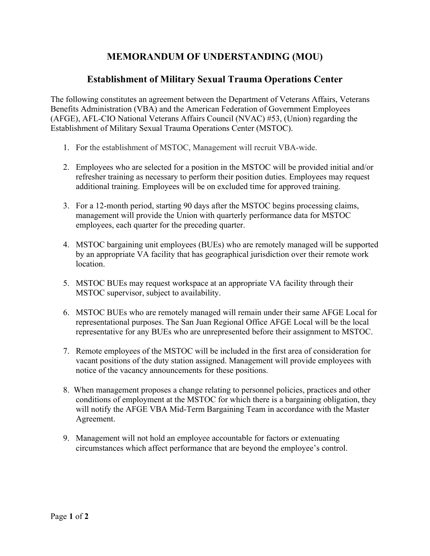## **MEMORANDUM OF UNDERSTANDING (MOU)**

## **Establishment of Military Sexual Trauma Operations Center**

The following constitutes an agreement between the Department of Veterans Affairs, Veterans Benefits Administration (VBA) and the American Federation of Government Employees (AFGE), AFL-CIO National Veterans Affairs Council (NVAC) #53, (Union) regarding the Establishment of Military Sexual Trauma Operations Center (MSTOC).

- 1. For the establishment of MSTOC, Management will recruit VBA-wide.
- 2. Employees who are selected for a position in the MSTOC will be provided initial and/or refresher training as necessary to perform their position duties. Employees may request additional training. Employees will be on excluded time for approved training.
- 3. For a 12-month period, starting 90 days after the MSTOC begins processing claims, management will provide the Union with quarterly performance data for MSTOC employees, each quarter for the preceding quarter.
- 4. MSTOC bargaining unit employees (BUEs) who are remotely managed will be supported by an appropriate VA facility that has geographical jurisdiction over their remote work location.
- 5. MSTOC BUEs may request workspace at an appropriate VA facility through their MSTOC supervisor, subject to availability.
- 6. MSTOC BUEs who are remotely managed will remain under their same AFGE Local for representational purposes. The San Juan Regional Office AFGE Local will be the local representative for any BUEs who are unrepresented before their assignment to MSTOC.
- 7. Remote employees of the MSTOC will be included in the first area of consideration for vacant positions of the duty station assigned. Management will provide employees with notice of the vacancy announcements for these positions.
- 8. When management proposes a change relating to personnel policies, practices and other conditions of employment at the MSTOC for which there is a bargaining obligation, they will notify the AFGE VBA Mid-Term Bargaining Team in accordance with the Master Agreement.
- 9. Management will not hold an employee accountable for factors or extenuating circumstances which affect performance that are beyond the employee's control.